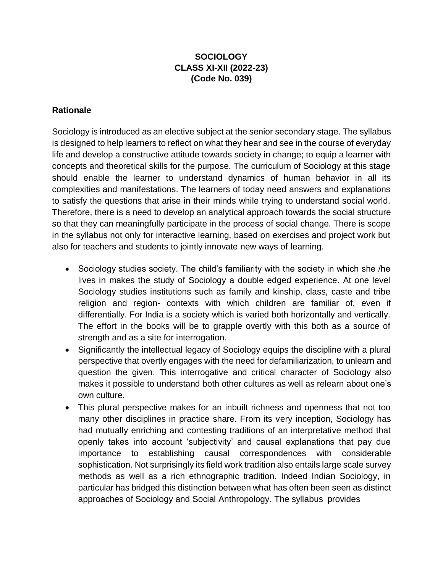## **SOCIOLOGY CLASS XI-XII (2022-23) (Code No. 039)**

### **Rationale**

Sociology is introduced as an elective subject at the senior secondary stage. The syllabus is designed to help learners to reflect on what they hear and see in the course of everyday life and develop a constructive attitude towards society in change; to equip a learner with concepts and theoretical skills for the purpose. The curriculum of Sociology at this stage should enable the learner to understand dynamics of human behavior in all its complexities and manifestations. The learners of today need answers and explanations to satisfy the questions that arise in their minds while trying to understand social world. Therefore, there is a need to develop an analytical approach towards the social structure so that they can meaningfully participate in the process of social change. There is scope in the syllabus not only for interactive learning, based on exercises and project work but also for teachers and students to jointly innovate new ways of learning.

- Sociology studies society. The child's familiarity with the society in which she /he lives in makes the study of Sociology a double edged experience. At one level Sociology studies institutions such as family and kinship, class, caste and tribe religion and region- contexts with which children are familiar of, even if differentially. For India is a society which is varied both horizontally and vertically. The effort in the books will be to grapple overtly with this both as a source of strength and as a site for interrogation.
- Significantly the intellectual legacy of Sociology equips the discipline with a plural perspective that overtly engages with the need for defamiliarization, to unlearn and question the given. This interrogative and critical character of Sociology also makes it possible to understand both other cultures as well as relearn about one's own culture.
- This plural perspective makes for an inbuilt richness and openness that not too many other disciplines in practice share. From its very inception, Sociology has had mutually enriching and contesting traditions of an interpretative method that openly takes into account 'subjectivity' and causal explanations that pay due importance to establishing causal correspondences with considerable sophistication. Not surprisingly its field work tradition also entails large scale survey methods as well as a rich ethnographic tradition. Indeed Indian Sociology, in particular has bridged this distinction between what has often been seen as distinct approaches of Sociology and Social Anthropology. The syllabus provides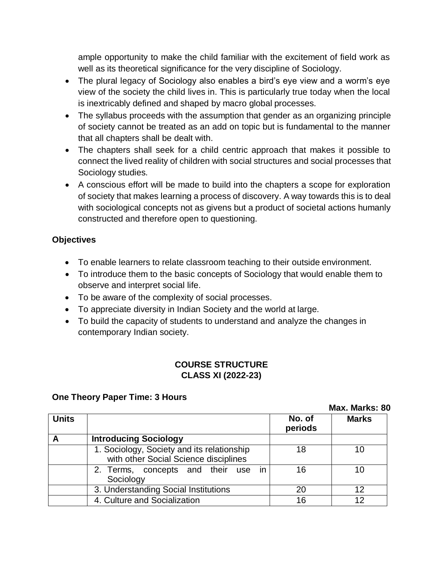ample opportunity to make the child familiar with the excitement of field work as well as its theoretical significance for the very discipline of Sociology.

- The plural legacy of Sociology also enables a bird's eye view and a worm's eye view of the society the child lives in. This is particularly true today when the local is inextricably defined and shaped by macro global processes.
- The syllabus proceeds with the assumption that gender as an organizing principle of society cannot be treated as an add on topic but is fundamental to the manner that all chapters shall be dealt with.
- The chapters shall seek for a child centric approach that makes it possible to connect the lived reality of children with social structures and social processes that Sociology studies.
- A conscious effort will be made to build into the chapters a scope for exploration of society that makes learning a process of discovery. A way towards this is to deal with sociological concepts not as givens but a product of societal actions humanly constructed and therefore open to questioning.

## **Objectives**

- To enable learners to relate classroom teaching to their outside environment.
- To introduce them to the basic concepts of Sociology that would enable them to observe and interpret social life.
- To be aware of the complexity of social processes.
- To appreciate diversity in Indian Society and the world at large.
- To build the capacity of students to understand and analyze the changes in contemporary Indian society.

## **COURSE STRUCTURE CLASS XI (2022-23)**

## **One Theory Paper Time: 3 Hours**

|              | <b>Max. Marks: ชิเ</b>                                                              |                   |              |
|--------------|-------------------------------------------------------------------------------------|-------------------|--------------|
| <b>Units</b> |                                                                                     | No. of<br>periods | <b>Marks</b> |
| A            | <b>Introducing Sociology</b>                                                        |                   |              |
|              | 1. Sociology, Society and its relationship<br>with other Social Science disciplines | 18                | 10           |
|              | 2. Terms, concepts and their use in<br>Sociology                                    | 16                | 10           |
|              | 3. Understanding Social Institutions                                                | 20                | 12           |
|              | 4. Culture and Socialization                                                        | 16                | 12           |

**Max. Marks: 80**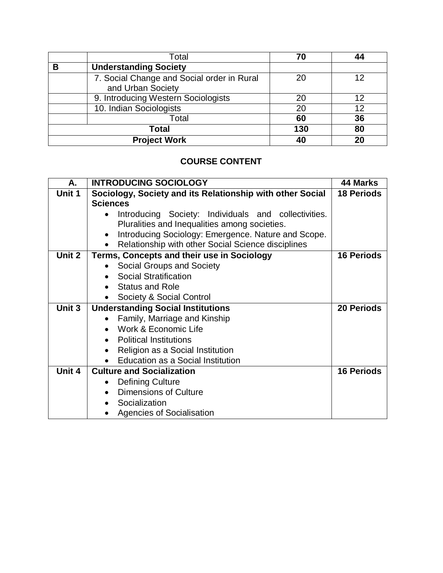|   | Total                                                           | 70  |    |
|---|-----------------------------------------------------------------|-----|----|
| В | <b>Understanding Society</b>                                    |     |    |
|   | 7. Social Change and Social order in Rural<br>and Urban Society | 20  |    |
|   | 9. Introducing Western Sociologists                             | 20  |    |
|   | 10. Indian Sociologists                                         | 20  |    |
|   | Total                                                           | 60  | 36 |
|   | <b>Total</b>                                                    | 130 | 80 |
|   | <b>Project Work</b>                                             | 40  | 20 |

# **COURSE CONTENT**

| А.     | <b>INTRODUCING SOCIOLOGY</b>                              | 44 Marks          |
|--------|-----------------------------------------------------------|-------------------|
| Unit 1 | Sociology, Society and its Relationship with other Social | <b>18 Periods</b> |
|        | <b>Sciences</b>                                           |                   |
|        | Introducing Society: Individuals and collectivities.      |                   |
|        | Pluralities and Inequalities among societies.             |                   |
|        | Introducing Sociology: Emergence. Nature and Scope.       |                   |
|        | Relationship with other Social Science disciplines        |                   |
| Unit 2 | Terms, Concepts and their use in Sociology                | <b>16 Periods</b> |
|        | Social Groups and Society                                 |                   |
|        | <b>Social Stratification</b>                              |                   |
|        | <b>Status and Role</b>                                    |                   |
|        | Society & Social Control                                  |                   |
| Unit 3 | <b>Understanding Social Institutions</b>                  | <b>20 Periods</b> |
|        | Family, Marriage and Kinship                              |                   |
|        | Work & Economic Life                                      |                   |
|        | <b>Political Institutions</b><br>$\bullet$                |                   |
|        | Religion as a Social Institution                          |                   |
|        | Education as a Social Institution                         |                   |
| Unit 4 | <b>Culture and Socialization</b>                          | <b>16 Periods</b> |
|        | <b>Defining Culture</b>                                   |                   |
|        | <b>Dimensions of Culture</b><br>$\bullet$                 |                   |
|        | Socialization                                             |                   |
|        | <b>Agencies of Socialisation</b>                          |                   |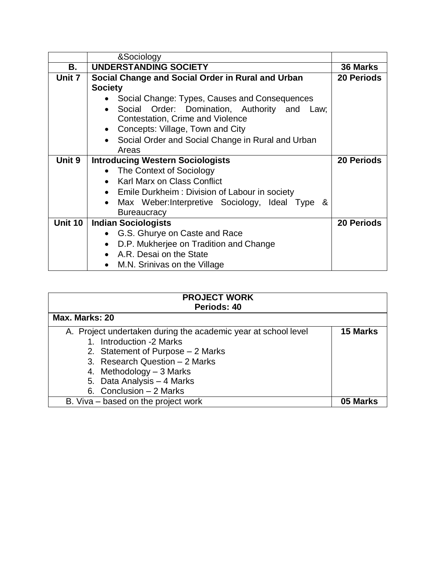|         | &Sociology                                        |                   |
|---------|---------------------------------------------------|-------------------|
| В.      | <b>UNDERSTANDING SOCIETY</b>                      | <b>36 Marks</b>   |
| Unit 7  | Social Change and Social Order in Rural and Urban | <b>20 Periods</b> |
|         | <b>Society</b>                                    |                   |
|         | Social Change: Types, Causes and Consequences     |                   |
|         | Social Order: Domination, Authority and Law;      |                   |
|         | Contestation, Crime and Violence                  |                   |
|         | Concepts: Village, Town and City                  |                   |
|         | Social Order and Social Change in Rural and Urban |                   |
|         | Areas                                             |                   |
| Unit 9  | <b>Introducing Western Sociologists</b>           | <b>20 Periods</b> |
|         | The Context of Sociology                          |                   |
|         | • Karl Marx on Class Conflict                     |                   |
|         | Emile Durkheim: Division of Labour in society     |                   |
|         | Max Weber: Interpretive Sociology, Ideal Type &   |                   |
|         | <b>Bureaucracy</b>                                |                   |
| Unit 10 | <b>Indian Sociologists</b>                        | <b>20 Periods</b> |
|         | G.S. Ghurye on Caste and Race                     |                   |
|         | D.P. Mukherjee on Tradition and Change            |                   |
|         | A.R. Desai on the State                           |                   |
|         | M.N. Srinivas on the Village                      |                   |

| <b>PROJECT WORK</b>                                            |                 |  |  |
|----------------------------------------------------------------|-----------------|--|--|
| Periods: 40                                                    |                 |  |  |
|                                                                |                 |  |  |
| Max. Marks: 20                                                 |                 |  |  |
|                                                                |                 |  |  |
| A. Project undertaken during the academic year at school level | <b>15 Marks</b> |  |  |
| 1. Introduction -2 Marks                                       |                 |  |  |
| 2. Statement of Purpose - 2 Marks                              |                 |  |  |
| 3. Research Question - 2 Marks                                 |                 |  |  |
| 4. Methodology $-3$ Marks                                      |                 |  |  |
| 5. Data Analysis - 4 Marks                                     |                 |  |  |
| 6. Conclusion $-2$ Marks                                       |                 |  |  |
| B. Viva – based on the project work                            | 05 Marks        |  |  |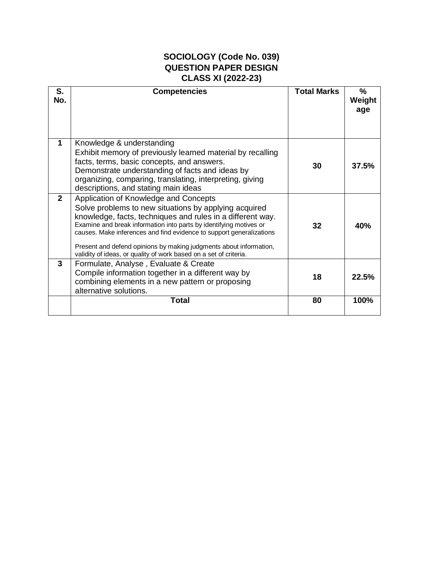# **SOCIOLOGY (Code No. 039) QUESTION PAPER DESIGN CLASS XI (2022-23)**

| S.<br>No.    | <b>Competencies</b>                                                                                                                                                                                                                                                                                                                                                                                                                                   | <b>Total Marks</b> | $\frac{9}{6}$<br>Weight<br>age |
|--------------|-------------------------------------------------------------------------------------------------------------------------------------------------------------------------------------------------------------------------------------------------------------------------------------------------------------------------------------------------------------------------------------------------------------------------------------------------------|--------------------|--------------------------------|
| $\mathbf 1$  | Knowledge & understanding<br>Exhibit memory of previously learned material by recalling<br>facts, terms, basic concepts, and answers.<br>Demonstrate understanding of facts and ideas by<br>organizing, comparing, translating, interpreting, giving<br>descriptions, and stating main ideas                                                                                                                                                          | 30                 | 37.5%                          |
| $\mathbf{2}$ | Application of Knowledge and Concepts<br>Solve problems to new situations by applying acquired<br>knowledge, facts, techniques and rules in a different way.<br>Examine and break information into parts by identifying motives or<br>causes. Make inferences and find evidence to support generalizations<br>Present and defend opinions by making judgments about information,<br>validity of ideas, or quality of work based on a set of criteria. | 32                 | 40%                            |
| 3            | Formulate, Analyse, Evaluate & Create<br>Compile information together in a different way by<br>combining elements in a new pattern or proposing<br>alternative solutions.                                                                                                                                                                                                                                                                             | 18                 | 22.5%                          |
|              | <b>Total</b>                                                                                                                                                                                                                                                                                                                                                                                                                                          | 80                 | 100%                           |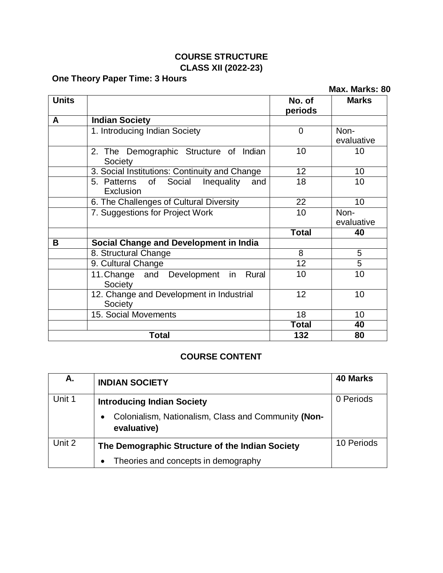# **COURSE STRUCTURE CLASS XII (2022-23)**

# **One Theory Paper Time: 3 Hours**

|              | One Theory Paper Three 5 Hours                                |                   | Max. Marks: 80     |
|--------------|---------------------------------------------------------------|-------------------|--------------------|
| <b>Units</b> |                                                               | No. of<br>periods | <b>Marks</b>       |
| A            | <b>Indian Society</b>                                         |                   |                    |
|              | 1. Introducing Indian Society                                 | $\Omega$          | Non-<br>evaluative |
|              | 2. The Demographic Structure of Indian<br>Society             | 10                | 10                 |
|              | 3. Social Institutions: Continuity and Change                 | 12 <sup>2</sup>   | 10                 |
|              | Inequality<br>5. Patterns<br>of<br>Social<br>and<br>Exclusion | 18                | 10                 |
|              | 6. The Challenges of Cultural Diversity                       | 22                | 10 <sup>°</sup>    |
|              | 7. Suggestions for Project Work                               | 10                | Non-<br>evaluative |
|              |                                                               | <b>Total</b>      | 40                 |
| B            | <b>Social Change and Development in India</b>                 |                   |                    |
|              | 8. Structural Change                                          | 8                 | 5                  |
|              | 9. Cultural Change                                            | $\overline{12}$   | $\overline{5}$     |
|              | 11. Change and Development in<br>Rural<br>Society             | 10                | 10                 |
|              | 12. Change and Development in Industrial<br>Society           | 12 <sup>2</sup>   | 10                 |
|              | 15. Social Movements                                          | 18                | 10                 |
|              |                                                               | <b>Total</b>      | 40                 |
|              | <b>Total</b>                                                  | 132               | 80                 |

## **COURSE CONTENT**

| А.     | <b>INDIAN SOCIETY</b>                                                                                                | <b>40 Marks</b> |
|--------|----------------------------------------------------------------------------------------------------------------------|-----------------|
| Unit 1 | <b>Introducing Indian Society</b><br>Colonialism, Nationalism, Class and Community (Non-<br>$\bullet$<br>evaluative) | 0 Periods       |
| Unit 2 | The Demographic Structure of the Indian Society<br>Theories and concepts in demography<br>$\bullet$                  | 10 Periods      |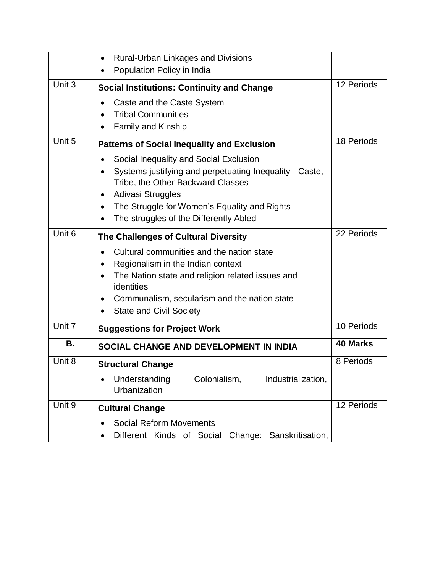|        | <b>Rural-Urban Linkages and Divisions</b><br>٠          |                 |
|--------|---------------------------------------------------------|-----------------|
|        | Population Policy in India                              |                 |
| Unit 3 |                                                         | 12 Periods      |
|        | <b>Social Institutions: Continuity and Change</b>       |                 |
|        | Caste and the Caste System                              |                 |
|        | <b>Tribal Communities</b>                               |                 |
|        | <b>Family and Kinship</b>                               |                 |
|        |                                                         |                 |
| Unit 5 | <b>Patterns of Social Inequality and Exclusion</b>      | 18 Periods      |
|        | Social Inequality and Social Exclusion                  |                 |
|        | Systems justifying and perpetuating Inequality - Caste, |                 |
|        | Tribe, the Other Backward Classes                       |                 |
|        | Adivasi Struggles                                       |                 |
|        | The Struggle for Women's Equality and Rights<br>٠       |                 |
|        | The struggles of the Differently Abled                  |                 |
|        |                                                         |                 |
| Unit 6 | The Challenges of Cultural Diversity                    | 22 Periods      |
|        | Cultural communities and the nation state               |                 |
|        | Regionalism in the Indian context                       |                 |
|        | The Nation state and religion related issues and        |                 |
|        | identities                                              |                 |
|        | Communalism, secularism and the nation state            |                 |
|        | <b>State and Civil Society</b>                          |                 |
|        |                                                         |                 |
| Unit 7 | <b>Suggestions for Project Work</b>                     | 10 Periods      |
| Β.     | SOCIAL CHANGE AND DEVELOPMENT IN INDIA                  | <b>40 Marks</b> |
|        |                                                         |                 |
| Unit 8 | <b>Structural Change</b>                                | 8 Periods       |
|        | Understanding<br>Colonialism,<br>Industrialization,     |                 |
|        | Urbanization                                            |                 |
| Unit 9 |                                                         | 12 Periods      |
|        | <b>Cultural Change</b>                                  |                 |
|        | <b>Social Reform Movements</b>                          |                 |
|        | Different Kinds of Social<br>Change: Sanskritisation,   |                 |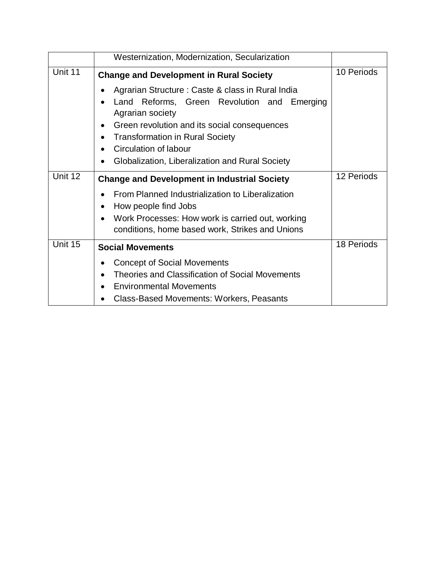|         | Westernization, Modernization, Secularization                                                                                                                                                                                                                                                                          |            |
|---------|------------------------------------------------------------------------------------------------------------------------------------------------------------------------------------------------------------------------------------------------------------------------------------------------------------------------|------------|
| Unit 11 | <b>Change and Development in Rural Society</b>                                                                                                                                                                                                                                                                         | 10 Periods |
|         | Agrarian Structure: Caste & class in Rural India<br>Reforms, Green Revolution and Emerging<br>Land<br>Agrarian society<br>Green revolution and its social consequences<br><b>Transformation in Rural Society</b><br>$\bullet$<br>Circulation of labour<br>$\bullet$<br>Globalization, Liberalization and Rural Society |            |
| Unit 12 | <b>Change and Development in Industrial Society</b>                                                                                                                                                                                                                                                                    | 12 Periods |
|         | From Planned Industrialization to Liberalization<br>How people find Jobs<br>$\bullet$<br>Work Processes: How work is carried out, working<br>conditions, home based work, Strikes and Unions                                                                                                                           |            |
| Unit 15 | <b>Social Movements</b>                                                                                                                                                                                                                                                                                                | 18 Periods |
|         | <b>Concept of Social Movements</b><br><b>Theories and Classification of Social Movements</b><br>$\bullet$<br><b>Environmental Movements</b><br>$\bullet$<br><b>Class-Based Movements: Workers, Peasants</b>                                                                                                            |            |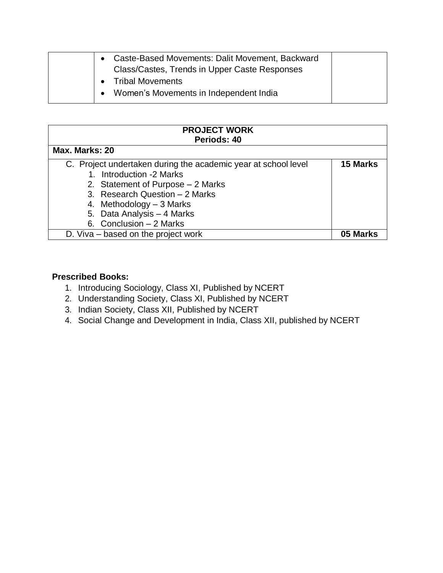| Caste-Based Movements: Dalit Movement, Backward<br>Class/Castes, Trends in Upper Caste Responses |  |
|--------------------------------------------------------------------------------------------------|--|
| <b>Tribal Movements</b><br>$\bullet$                                                             |  |
| Women's Movements in Independent India                                                           |  |

| <b>PROJECT WORK</b>                                            |                 |  |
|----------------------------------------------------------------|-----------------|--|
| Periods: 40                                                    |                 |  |
|                                                                |                 |  |
| Max. Marks: 20                                                 |                 |  |
| C. Project undertaken during the academic year at school level | <b>15 Marks</b> |  |
| 1. Introduction -2 Marks                                       |                 |  |
| 2. Statement of Purpose - 2 Marks                              |                 |  |
| 3. Research Question - 2 Marks                                 |                 |  |
| 4. Methodology – 3 Marks                                       |                 |  |
| 5. Data Analysis - 4 Marks                                     |                 |  |
| 6. Conclusion $-2$ Marks                                       |                 |  |
| D. Viva – based on the project work                            | 05 Marks        |  |

### **Prescribed Books:**

- 1. Introducing Sociology, Class XI, Published by NCERT
- 2. Understanding Society, Class XI, Published by NCERT
- 3. Indian Society, Class XII, Published by NCERT
- 4. Social Change and Development in India, Class XII, published by NCERT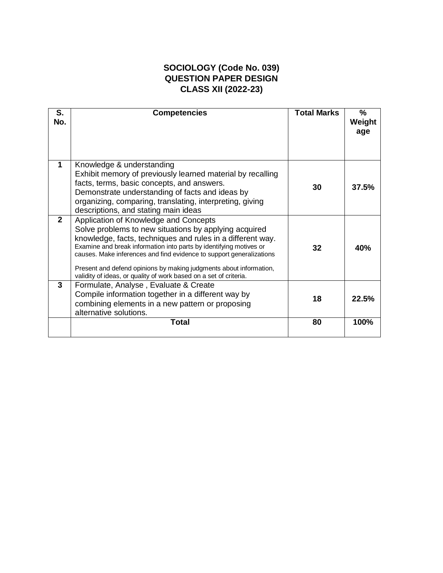## **SOCIOLOGY (Code No. 039) QUESTION PAPER DESIGN CLASS XII (2022-23)**

| S.<br>No.    | <b>Competencies</b>                                                                                                                                                                                                                                                                                                                                                                                                                                   | <b>Total Marks</b> | $\%$<br>Weight<br>age |
|--------------|-------------------------------------------------------------------------------------------------------------------------------------------------------------------------------------------------------------------------------------------------------------------------------------------------------------------------------------------------------------------------------------------------------------------------------------------------------|--------------------|-----------------------|
| 1            | Knowledge & understanding<br>Exhibit memory of previously learned material by recalling<br>facts, terms, basic concepts, and answers.<br>Demonstrate understanding of facts and ideas by<br>organizing, comparing, translating, interpreting, giving<br>descriptions, and stating main ideas                                                                                                                                                          | 30                 | 37.5%                 |
| $\mathbf{2}$ | Application of Knowledge and Concepts<br>Solve problems to new situations by applying acquired<br>knowledge, facts, techniques and rules in a different way.<br>Examine and break information into parts by identifying motives or<br>causes. Make inferences and find evidence to support generalizations<br>Present and defend opinions by making judgments about information,<br>validity of ideas, or quality of work based on a set of criteria. | 32                 | 40%                   |
| 3            | Formulate, Analyse, Evaluate & Create<br>Compile information together in a different way by<br>combining elements in a new pattern or proposing<br>alternative solutions.                                                                                                                                                                                                                                                                             | 18                 | 22.5%                 |
|              | <b>Total</b>                                                                                                                                                                                                                                                                                                                                                                                                                                          | 80                 | 100%                  |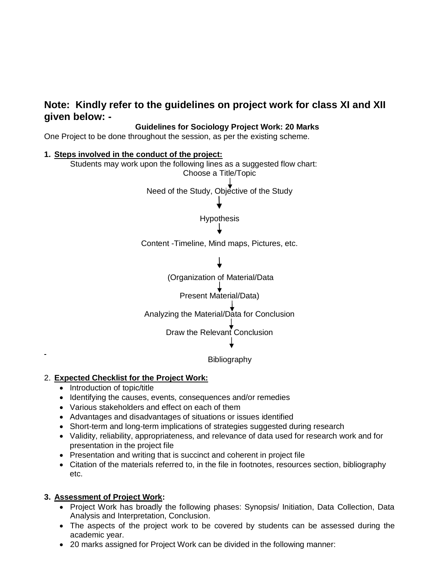# **Note: Kindly refer to the guidelines on project work for class XI and XII given below: -**

#### **Guidelines for Sociology Project Work: 20 Marks**

One Project to be done throughout the session, as per the existing scheme.



#### 2. **Expected Checklist for the Project Work:**

- Introduction of topic/title
- Identifying the causes, events, consequences and/or remedies
- Various stakeholders and effect on each of them
- Advantages and disadvantages of situations or issues identified
- Short-term and long-term implications of strategies suggested during research
- Validity, reliability, appropriateness, and relevance of data used for research work and for presentation in the project file
- Presentation and writing that is succinct and coherent in project file
- Citation of the materials referred to, in the file in footnotes, resources section, bibliography etc.

#### **3. Assessment of Project Work:**

- Project Work has broadly the following phases: Synopsis/ Initiation, Data Collection, Data Analysis and Interpretation, Conclusion.
- The aspects of the project work to be covered by students can be assessed during the academic year.
- 20 marks assigned for Project Work can be divided in the following manner: